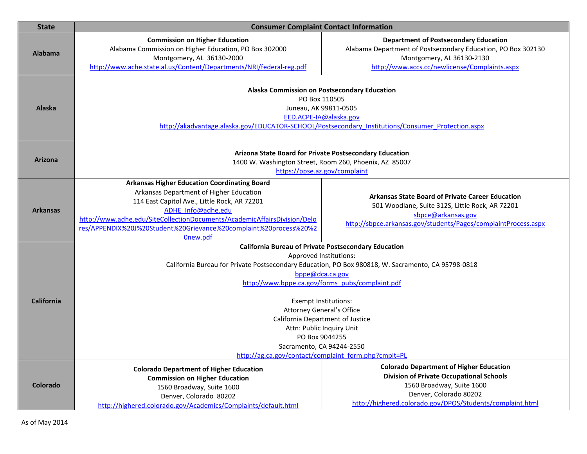| <b>State</b>      | <b>Consumer Complaint Contact Information</b>                                                                                                                                                                                                                                                                                                                                                                                                                                                         |                                                                                                                                                                                                                       |
|-------------------|-------------------------------------------------------------------------------------------------------------------------------------------------------------------------------------------------------------------------------------------------------------------------------------------------------------------------------------------------------------------------------------------------------------------------------------------------------------------------------------------------------|-----------------------------------------------------------------------------------------------------------------------------------------------------------------------------------------------------------------------|
| <b>Alabama</b>    | <b>Commission on Higher Education</b><br>Alabama Commission on Higher Education, PO Box 302000<br>Montgomery, AL 36130-2000<br>http://www.ache.state.al.us/Content/Departments/NRI/federal-reg.pdf                                                                                                                                                                                                                                                                                                    | <b>Department of Postsecondary Education</b><br>Alabama Department of Postsecondary Education, PO Box 302130<br>Montgomery, AL 36130-2130<br>http://www.accs.cc/newlicense/Complaints.aspx                            |
| <b>Alaska</b>     | Alaska Commission on Postsecondary Education<br>PO Box 110505<br>Juneau, AK 99811-0505<br>EED.ACPE-IA@alaska.gov<br>http://akadvantage.alaska.gov/EDUCATOR-SCHOOL/Postsecondary Institutions/Consumer Protection.aspx                                                                                                                                                                                                                                                                                 |                                                                                                                                                                                                                       |
| <b>Arizona</b>    | Arizona State Board for Private Postsecondary Education<br>1400 W. Washington Street, Room 260, Phoenix, AZ 85007<br>https://ppse.az.gov/complaint                                                                                                                                                                                                                                                                                                                                                    |                                                                                                                                                                                                                       |
| <b>Arkansas</b>   | <b>Arkansas Higher Education Coordinating Board</b><br>Arkansas Department of Higher Education<br>114 East Capitol Ave., Little Rock, AR 72201<br>ADHE Info@adhe.edu<br>http://www.adhe.edu/SiteCollectionDocuments/AcademicAffairsDivision/Delo<br>res/APPENDIX%20J%20Student%20Grievance%20complaint%20process%20%2<br>Onew.pdf                                                                                                                                                                     | <b>Arkansas State Board of Private Career Education</b><br>501 Woodlane, Suite 312S, Little Rock, AR 72201<br>sbpce@arkansas.gov<br>http://sbpce.arkansas.gov/students/Pages/complaintProcess.aspx                    |
| <b>California</b> | <b>California Bureau of Private Postsecondary Education</b><br>Approved Institutions:<br>California Bureau for Private Postsecondary Education, PO Box 980818, W. Sacramento, CA 95798-0818<br>bppe@dca.ca.gov<br>http://www.bppe.ca.gov/forms_pubs/complaint.pdf<br><b>Exempt Institutions:</b><br>Attorney General's Office<br>California Department of Justice<br>Attn: Public Inquiry Unit<br>PO Box 9044255<br>Sacramento, CA 94244-2550<br>http://ag.ca.gov/contact/complaint_form.php?cmplt=PL |                                                                                                                                                                                                                       |
| Colorado          | <b>Colorado Department of Higher Education</b><br><b>Commission on Higher Education</b><br>1560 Broadway, Suite 1600<br>Denver, Colorado 80202<br>http://highered.colorado.gov/Academics/Complaints/default.html                                                                                                                                                                                                                                                                                      | <b>Colorado Department of Higher Education</b><br><b>Division of Private Occupational Schools</b><br>1560 Broadway, Suite 1600<br>Denver, Colorado 80202<br>http://highered.colorado.gov/DPOS/Students/complaint.html |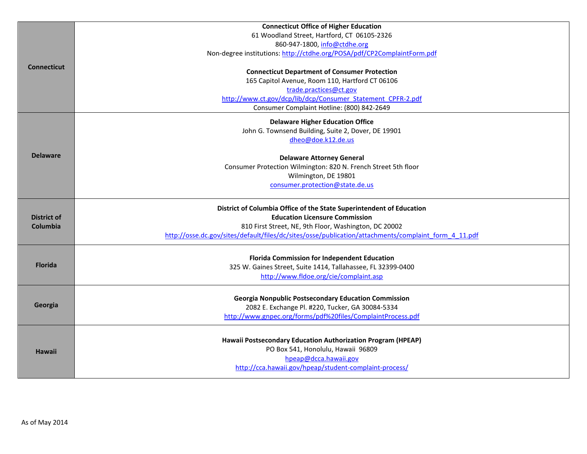|                    | <b>Connecticut Office of Higher Education</b>                                                                   |
|--------------------|-----------------------------------------------------------------------------------------------------------------|
| <b>Connecticut</b> | 61 Woodland Street, Hartford, CT 06105-2326                                                                     |
|                    | 860-947-1800, info@ctdhe.org                                                                                    |
|                    | Non-degree institutions: http://ctdhe.org/POSA/pdf/CP2ComplaintForm.pdf                                         |
|                    | <b>Connecticut Department of Consumer Protection</b>                                                            |
|                    | 165 Capitol Avenue, Room 110, Hartford CT 06106                                                                 |
|                    | trade.practices@ct.gov                                                                                          |
|                    | http://www.ct.gov/dcp/lib/dcp/Consumer Statement CPFR-2.pdf                                                     |
|                    | Consumer Complaint Hotline: (800) 842-2649                                                                      |
|                    | <b>Delaware Higher Education Office</b>                                                                         |
|                    | John G. Townsend Building, Suite 2, Dover, DE 19901                                                             |
|                    | dheo@doe.k12.de.us                                                                                              |
| <b>Delaware</b>    | <b>Delaware Attorney General</b>                                                                                |
|                    | Consumer Protection Wilmington: 820 N. French Street 5th floor                                                  |
|                    | Wilmington, DE 19801                                                                                            |
|                    | consumer.protection@state.de.us                                                                                 |
|                    |                                                                                                                 |
|                    |                                                                                                                 |
|                    | District of Columbia Office of the State Superintendent of Education                                            |
| <b>District of</b> | <b>Education Licensure Commission</b>                                                                           |
| Columbia           | 810 First Street, NE, 9th Floor, Washington, DC 20002                                                           |
|                    | http://osse.dc.gov/sites/default/files/dc/sites/osse/publication/attachments/complaint_form_4_11.pdf            |
|                    |                                                                                                                 |
|                    | <b>Florida Commission for Independent Education</b>                                                             |
| <b>Florida</b>     | 325 W. Gaines Street, Suite 1414, Tallahassee, FL 32399-0400                                                    |
|                    | http://www.fldoe.org/cie/complaint.asp                                                                          |
|                    |                                                                                                                 |
| Georgia            | <b>Georgia Nonpublic Postsecondary Education Commission</b>                                                     |
|                    | 2082 E. Exchange Pl. #220, Tucker, GA 30084-5334<br>http://www.gnpec.org/forms/pdf%20files/ComplaintProcess.pdf |
|                    |                                                                                                                 |
|                    | Hawaii Postsecondary Education Authorization Program (HPEAP)                                                    |
| <b>Hawaii</b>      | PO Box 541, Honolulu, Hawaii 96809                                                                              |
|                    | hpeap@dcca.hawaii.gov                                                                                           |
|                    | http://cca.hawaii.gov/hpeap/student-complaint-process/                                                          |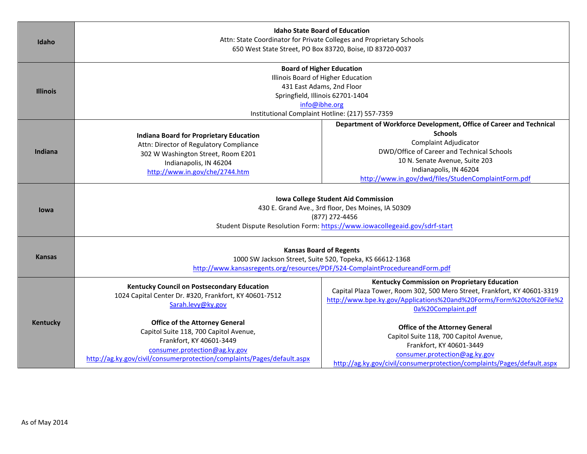| Idaho           | <b>Idaho State Board of Education</b><br>Attn: State Coordinator for Private Colleges and Proprietary Schools<br>650 West State Street, PO Box 83720, Boise, ID 83720-0037                                              |                                                                                                                                                                                                                                                                                 |
|-----------------|-------------------------------------------------------------------------------------------------------------------------------------------------------------------------------------------------------------------------|---------------------------------------------------------------------------------------------------------------------------------------------------------------------------------------------------------------------------------------------------------------------------------|
| <b>Illinois</b> | <b>Board of Higher Education</b><br>Illinois Board of Higher Education<br>431 East Adams, 2nd Floor<br>Springfield, Illinois 62701-1404<br>info@ibhe.org<br>Institutional Complaint Hotline: (217) 557-7359             |                                                                                                                                                                                                                                                                                 |
| <b>Indiana</b>  | <b>Indiana Board for Proprietary Education</b><br>Attn: Director of Regulatory Compliance<br>302 W Washington Street, Room E201<br>Indianapolis, IN 46204<br>http://www.in.gov/che/2744.htm                             | Department of Workforce Development, Office of Career and Technical<br><b>Schools</b><br>Complaint Adjudicator<br>DWD/Office of Career and Technical Schools<br>10 N. Senate Avenue, Suite 203<br>Indianapolis, IN 46204<br>http://www.in.gov/dwd/files/StudenComplaintForm.pdf |
| lowa            | <b>Iowa College Student Aid Commission</b><br>430 E. Grand Ave., 3rd floor, Des Moines, IA 50309<br>(877) 272-4456<br>Student Dispute Resolution Form: https://www.iowacollegeaid.gov/sdrf-start                        |                                                                                                                                                                                                                                                                                 |
| Kansas          | <b>Kansas Board of Regents</b><br>1000 SW Jackson Street, Suite 520, Topeka, KS 66612-1368<br>http://www.kansasregents.org/resources/PDF/524-ComplaintProcedureandForm.pdf                                              |                                                                                                                                                                                                                                                                                 |
|                 | Kentucky Council on Postsecondary Education<br>1024 Capital Center Dr. #320, Frankfort, KY 40601-7512<br>Sarah.levy@ky.gov                                                                                              | Kentucky Commission on Proprietary Education<br>Capital Plaza Tower, Room 302, 500 Mero Street, Frankfort, KY 40601-3319<br>http://www.bpe.ky.gov/Applications%20and%20Forms/Form%20to%20File%2<br>0a%20Complaint.pdf                                                           |
| <b>Kentucky</b> | <b>Office of the Attorney General</b><br>Capitol Suite 118, 700 Capitol Avenue,<br>Frankfort, KY 40601-3449<br>consumer.protection@ag.ky.gov<br>http://ag.ky.gov/civil/consumerprotection/complaints/Pages/default.aspx | <b>Office of the Attorney General</b><br>Capitol Suite 118, 700 Capitol Avenue,<br>Frankfort, KY 40601-3449<br>consumer.protection@ag.ky.gov<br>http://ag.ky.gov/civil/consumerprotection/complaints/Pages/default.aspx                                                         |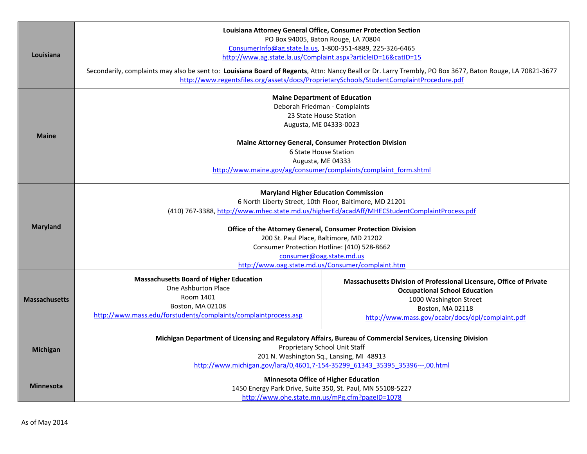| Louisiana            | Louisiana Attorney General Office, Consumer Protection Section<br>PO Box 94005, Baton Rouge, LA 70804<br>ConsumerInfo@ag.state.la.us, 1-800-351-4889, 225-326-6465<br>http://www.ag.state.la.us/Complaint.aspx?articleID=16&catID=15<br>Secondarily, complaints may also be sent to: Louisiana Board of Regents, Attn: Nancy Beall or Dr. Larry Trembly, PO Box 3677, Baton Rouge, LA 70821-3677<br>http://www.regentsfiles.org/assets/docs/ProprietarySchools/StudentComplaintProcedure.pdf |                                                                                                                                                                                                               |
|----------------------|----------------------------------------------------------------------------------------------------------------------------------------------------------------------------------------------------------------------------------------------------------------------------------------------------------------------------------------------------------------------------------------------------------------------------------------------------------------------------------------------|---------------------------------------------------------------------------------------------------------------------------------------------------------------------------------------------------------------|
| <b>Maine</b>         | <b>Maine Department of Education</b><br>Deborah Friedman - Complaints<br>23 State House Station<br>Augusta, ME 04333-0023<br><b>Maine Attorney General, Consumer Protection Division</b><br>6 State House Station<br>Augusta, ME 04333<br>http://www.maine.gov/ag/consumer/complaints/complaint form.shtml                                                                                                                                                                                   |                                                                                                                                                                                                               |
| <b>Maryland</b>      | <b>Maryland Higher Education Commission</b><br>6 North Liberty Street, 10th Floor, Baltimore, MD 21201<br>(410) 767-3388, http://www.mhec.state.md.us/higherEd/acadAff/MHECStudentComplaintProcess.pdf<br>Office of the Attorney General, Consumer Protection Division<br>200 St. Paul Place, Baltimore, MD 21202<br>Consumer Protection Hotline: (410) 528-8662<br>consumer@oag.state.md.us<br>http://www.oag.state.md.us/Consumer/complaint.htm                                            |                                                                                                                                                                                                               |
| <b>Massachusetts</b> | <b>Massachusetts Board of Higher Education</b><br>One Ashburton Place<br>Room 1401<br>Boston, MA 02108<br>http://www.mass.edu/forstudents/complaints/complaintprocess.asp                                                                                                                                                                                                                                                                                                                    | Massachusetts Division of Professional Licensure, Office of Private<br><b>Occupational School Education</b><br>1000 Washington Street<br>Boston, MA 02118<br>http://www.mass.gov/ocabr/docs/dpl/complaint.pdf |
| <b>Michigan</b>      | Michigan Department of Licensing and Regulatory Affairs, Bureau of Commercial Services, Licensing Division<br>Proprietary School Unit Staff<br>201 N. Washington Sq., Lansing, MI 48913<br>http://www.michigan.gov/lara/0,4601,7-154-35299 61343 35395 35396---,00.html                                                                                                                                                                                                                      |                                                                                                                                                                                                               |
| Minnesota            | <b>Minnesota Office of Higher Education</b><br>1450 Energy Park Drive, Suite 350, St. Paul, MN 55108-5227<br>http://www.ohe.state.mn.us/mPg.cfm?pageID=1078                                                                                                                                                                                                                                                                                                                                  |                                                                                                                                                                                                               |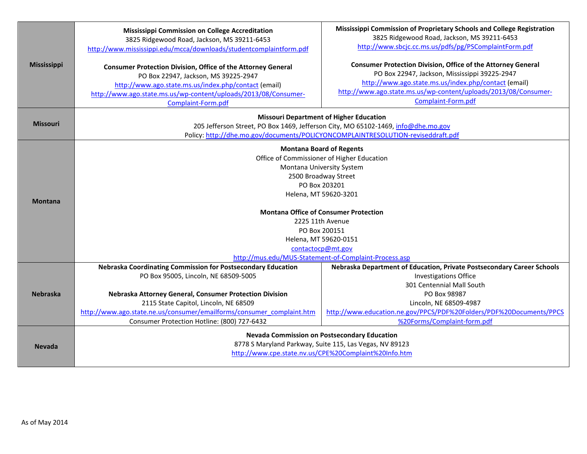| <b>Mississippi</b> | Mississippi Commission on College Accreditation<br>3825 Ridgewood Road, Jackson, MS 39211-6453<br>http://www.mississippi.edu/mcca/downloads/studentcomplaintform.pdf<br><b>Consumer Protection Division, Office of the Attorney General</b><br>PO Box 22947, Jackson, MS 39225-2947<br>http://www.ago.state.ms.us/index.php/contact (email)<br>http://www.ago.state.ms.us/wp-content/uploads/2013/08/Consumer- | Mississippi Commission of Proprietary Schools and College Registration<br>3825 Ridgewood Road, Jackson, MS 39211-6453<br>http://www.sbcjc.cc.ms.us/pdfs/pg/PSComplaintForm.pdf<br><b>Consumer Protection Division, Office of the Attorney General</b><br>PO Box 22947, Jackson, Mississippi 39225-2947<br>http://www.ago.state.ms.us/index.php/contact (email)<br>http://www.ago.state.ms.us/wp-content/uploads/2013/08/Consumer-<br>Complaint-Form.pdf |
|--------------------|----------------------------------------------------------------------------------------------------------------------------------------------------------------------------------------------------------------------------------------------------------------------------------------------------------------------------------------------------------------------------------------------------------------|---------------------------------------------------------------------------------------------------------------------------------------------------------------------------------------------------------------------------------------------------------------------------------------------------------------------------------------------------------------------------------------------------------------------------------------------------------|
|                    | Complaint-Form.pdf<br><b>Missouri Department of Higher Education</b>                                                                                                                                                                                                                                                                                                                                           |                                                                                                                                                                                                                                                                                                                                                                                                                                                         |
| <b>Missouri</b>    | 205 Jefferson Street, PO Box 1469, Jefferson City, MO 65102-1469, info@dhe.mo.gov                                                                                                                                                                                                                                                                                                                              |                                                                                                                                                                                                                                                                                                                                                                                                                                                         |
|                    | Policy: http://dhe.mo.gov/documents/POLICYONCOMPLAINTRESOLUTION-reviseddraft.pdf                                                                                                                                                                                                                                                                                                                               |                                                                                                                                                                                                                                                                                                                                                                                                                                                         |
|                    | <b>Montana Board of Regents</b>                                                                                                                                                                                                                                                                                                                                                                                |                                                                                                                                                                                                                                                                                                                                                                                                                                                         |
|                    | Office of Commissioner of Higher Education<br>Montana University System                                                                                                                                                                                                                                                                                                                                        |                                                                                                                                                                                                                                                                                                                                                                                                                                                         |
|                    | 2500 Broadway Street                                                                                                                                                                                                                                                                                                                                                                                           |                                                                                                                                                                                                                                                                                                                                                                                                                                                         |
|                    | PO Box 203201                                                                                                                                                                                                                                                                                                                                                                                                  |                                                                                                                                                                                                                                                                                                                                                                                                                                                         |
| <b>Montana</b>     | Helena, MT 59620-3201                                                                                                                                                                                                                                                                                                                                                                                          |                                                                                                                                                                                                                                                                                                                                                                                                                                                         |
|                    | <b>Montana Office of Consumer Protection</b>                                                                                                                                                                                                                                                                                                                                                                   |                                                                                                                                                                                                                                                                                                                                                                                                                                                         |
|                    | 2225 11th Avenue                                                                                                                                                                                                                                                                                                                                                                                               |                                                                                                                                                                                                                                                                                                                                                                                                                                                         |
|                    | PO Box 200151                                                                                                                                                                                                                                                                                                                                                                                                  |                                                                                                                                                                                                                                                                                                                                                                                                                                                         |
|                    | Helena, MT 59620-0151                                                                                                                                                                                                                                                                                                                                                                                          |                                                                                                                                                                                                                                                                                                                                                                                                                                                         |
|                    | contactocp@mt.gov<br>http://mus.edu/MUS-Statement-of-Complaint-Process.asp                                                                                                                                                                                                                                                                                                                                     |                                                                                                                                                                                                                                                                                                                                                                                                                                                         |
|                    | Nebraska Coordinating Commission for Postsecondary Education                                                                                                                                                                                                                                                                                                                                                   | Nebraska Department of Education, Private Postsecondary Career Schools                                                                                                                                                                                                                                                                                                                                                                                  |
|                    | PO Box 95005, Lincoln, NE 68509-5005                                                                                                                                                                                                                                                                                                                                                                           | <b>Investigations Office</b>                                                                                                                                                                                                                                                                                                                                                                                                                            |
|                    |                                                                                                                                                                                                                                                                                                                                                                                                                | 301 Centennial Mall South                                                                                                                                                                                                                                                                                                                                                                                                                               |
| <b>Nebraska</b>    | Nebraska Attorney General, Consumer Protection Division                                                                                                                                                                                                                                                                                                                                                        | PO Box 98987                                                                                                                                                                                                                                                                                                                                                                                                                                            |
|                    | 2115 State Capitol, Lincoln, NE 68509<br>http://www.ago.state.ne.us/consumer/emailforms/consumer_complaint.htm                                                                                                                                                                                                                                                                                                 | Lincoln, NE 68509-4987<br>http://www.education.ne.gov/PPCS/PDF%20Folders/PDF%20Documents/PPCS                                                                                                                                                                                                                                                                                                                                                           |
|                    | Consumer Protection Hotline: (800) 727-6432                                                                                                                                                                                                                                                                                                                                                                    | %20Forms/Complaint-form.pdf                                                                                                                                                                                                                                                                                                                                                                                                                             |
|                    |                                                                                                                                                                                                                                                                                                                                                                                                                |                                                                                                                                                                                                                                                                                                                                                                                                                                                         |
| <b>Nevada</b>      | <b>Nevada Commission on Postsecondary Education</b><br>8778 S Maryland Parkway, Suite 115, Las Vegas, NV 89123                                                                                                                                                                                                                                                                                                 |                                                                                                                                                                                                                                                                                                                                                                                                                                                         |
|                    | http://www.cpe.state.nv.us/CPE%20Complaint%20Info.htm                                                                                                                                                                                                                                                                                                                                                          |                                                                                                                                                                                                                                                                                                                                                                                                                                                         |
|                    |                                                                                                                                                                                                                                                                                                                                                                                                                |                                                                                                                                                                                                                                                                                                                                                                                                                                                         |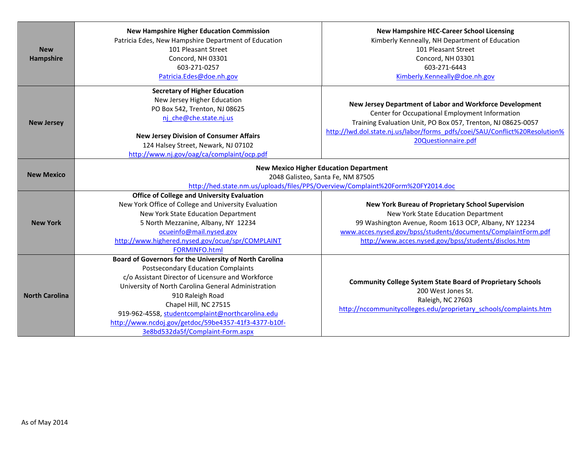| <b>New</b><br><b>Hampshire</b> | <b>New Hampshire Higher Education Commission</b><br>Patricia Edes, New Hampshire Department of Education<br>101 Pleasant Street<br>Concord, NH 03301<br>603-271-0257<br>Patricia.Edes@doe.nh.gov                                                                                                                                                                                                              | <b>New Hampshire HEC-Career School Licensing</b><br>Kimberly Kenneally, NH Department of Education<br>101 Pleasant Street<br>Concord, NH 03301<br>603-271-6443<br>Kimberly.Kenneally@doe.nh.gov                                                                                  |
|--------------------------------|---------------------------------------------------------------------------------------------------------------------------------------------------------------------------------------------------------------------------------------------------------------------------------------------------------------------------------------------------------------------------------------------------------------|----------------------------------------------------------------------------------------------------------------------------------------------------------------------------------------------------------------------------------------------------------------------------------|
| <b>New Jersey</b>              | <b>Secretary of Higher Education</b><br>New Jersey Higher Education<br>PO Box 542, Trenton, NJ 08625<br>nj che@che.state.nj.us<br><b>New Jersey Division of Consumer Affairs</b><br>124 Halsey Street, Newark, NJ 07102<br>http://www.nj.gov/oag/ca/complaint/ocp.pdf                                                                                                                                         | New Jersey Department of Labor and Workforce Development<br>Center for Occupational Employment Information<br>Training Evaluation Unit, PO Box 057, Trenton, NJ 08625-0057<br>http://lwd.dol.state.nj.us/labor/forms_pdfs/coei/SAU/Conflict%20Resolution%<br>20Questionnaire.pdf |
| <b>New Mexico</b>              |                                                                                                                                                                                                                                                                                                                                                                                                               | <b>New Mexico Higher Education Department</b><br>2048 Galisteo, Santa Fe, NM 87505<br>http://hed.state.nm.us/uploads/files/PPS/Overview/Complaint%20Form%20FY2014.doc                                                                                                            |
| <b>New York</b>                | <b>Office of College and University Evaluation</b><br>New York Office of College and University Evaluation<br>New York State Education Department<br>5 North Mezzanine, Albany, NY 12234<br>ocueinfo@mail.nysed.gov<br>http://www.highered.nysed.gov/ocue/spr/COMPLAINT<br><b>FORMINFO.html</b>                                                                                                               | New York Bureau of Proprietary School Supervision<br>New York State Education Department<br>99 Washington Avenue, Room 1613 OCP, Albany, NY 12234<br>www.acces.nysed.gov/bpss/students/documents/ComplaintForm.pdf<br>http://www.acces.nysed.gov/bpss/students/disclos.htm       |
| <b>North Carolina</b>          | Board of Governors for the University of North Carolina<br><b>Postsecondary Education Complaints</b><br>c/o Assistant Director of Licensure and Workforce<br>University of North Carolina General Administration<br>910 Raleigh Road<br>Chapel Hill, NC 27515<br>919-962-4558, studentcomplaint@northcarolina.edu<br>http://www.ncdoj.gov/getdoc/59be4357-41f3-4377-b10f-<br>3e8bd532da5f/Complaint-Form.aspx | <b>Community College System State Board of Proprietary Schools</b><br>200 West Jones St.<br>Raleigh, NC 27603<br>http://nccommunitycolleges.edu/proprietary_schools/complaints.htm                                                                                               |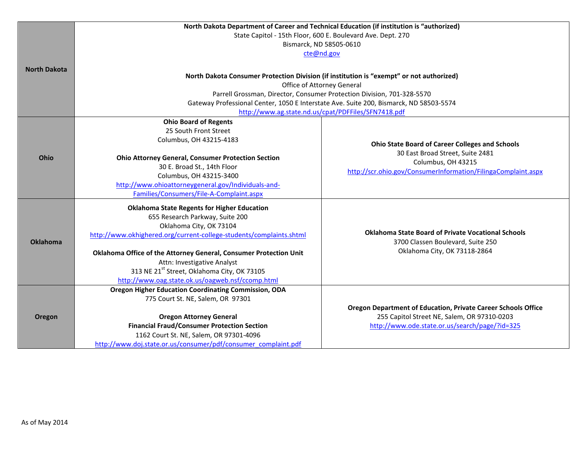|                     | North Dakota Department of Career and Technical Education (if institution is "authorized) |                                                                                                              |
|---------------------|-------------------------------------------------------------------------------------------|--------------------------------------------------------------------------------------------------------------|
|                     | State Capitol - 15th Floor, 600 E. Boulevard Ave. Dept. 270                               |                                                                                                              |
|                     | Bismarck, ND 58505-0610                                                                   |                                                                                                              |
|                     | cte@nd.gov                                                                                |                                                                                                              |
| <b>North Dakota</b> |                                                                                           |                                                                                                              |
|                     | North Dakota Consumer Protection Division (if institution is "exempt" or not authorized)  |                                                                                                              |
|                     | Office of Attorney General                                                                |                                                                                                              |
|                     | Parrell Grossman, Director, Consumer Protection Division, 701-328-5570                    |                                                                                                              |
|                     | Gateway Professional Center, 1050 E Interstate Ave. Suite 200, Bismarck, ND 58503-5574    |                                                                                                              |
|                     | http://www.ag.state.nd.us/cpat/PDFFiles/SFN7418.pdf                                       |                                                                                                              |
|                     | <b>Ohio Board of Regents</b>                                                              |                                                                                                              |
|                     | 25 South Front Street                                                                     |                                                                                                              |
|                     | Columbus, OH 43215-4183                                                                   | <b>Ohio State Board of Career Colleges and Schools</b>                                                       |
| Ohio                | <b>Ohio Attorney General, Consumer Protection Section</b>                                 | 30 East Broad Street, Suite 2481                                                                             |
|                     | 30 E. Broad St., 14th Floor                                                               | Columbus, OH 43215                                                                                           |
|                     | Columbus, OH 43215-3400                                                                   | http://scr.ohio.gov/ConsumerInformation/FilingaComplaint.aspx                                                |
|                     | http://www.ohioattorneygeneral.gov/Individuals-and-                                       |                                                                                                              |
|                     | Families/Consumers/File-A-Complaint.aspx                                                  |                                                                                                              |
|                     | <b>Oklahoma State Regents for Higher Education</b>                                        |                                                                                                              |
|                     | 655 Research Parkway, Suite 200                                                           |                                                                                                              |
|                     | Oklahoma City, OK 73104                                                                   |                                                                                                              |
|                     | http://www.okhighered.org/current-college-students/complaints.shtml                       | <b>Oklahoma State Board of Private Vocational Schools</b>                                                    |
| <b>Oklahoma</b>     |                                                                                           | 3700 Classen Boulevard, Suite 250                                                                            |
|                     | Oklahoma Office of the Attorney General, Consumer Protection Unit                         | Oklahoma City, OK 73118-2864                                                                                 |
|                     | Attn: Investigative Analyst                                                               |                                                                                                              |
|                     | 313 NE 21 <sup>st</sup> Street, Oklahoma City, OK 73105                                   |                                                                                                              |
|                     | http://www.oag.state.ok.us/oagweb.nsf/ccomp.html                                          |                                                                                                              |
|                     | <b>Oregon Higher Education Coordinating Commission, ODA</b>                               |                                                                                                              |
|                     | 775 Court St. NE, Salem, OR 97301                                                         |                                                                                                              |
|                     | <b>Oregon Attorney General</b>                                                            | Oregon Department of Education, Private Career Schools Office<br>255 Capitol Street NE, Salem, OR 97310-0203 |
| Oregon              | <b>Financial Fraud/Consumer Protection Section</b>                                        | http://www.ode.state.or.us/search/page/?id=325                                                               |
|                     | 1162 Court St. NE, Salem, OR 97301-4096                                                   |                                                                                                              |
|                     | http://www.doj.state.or.us/consumer/pdf/consumer_complaint.pdf                            |                                                                                                              |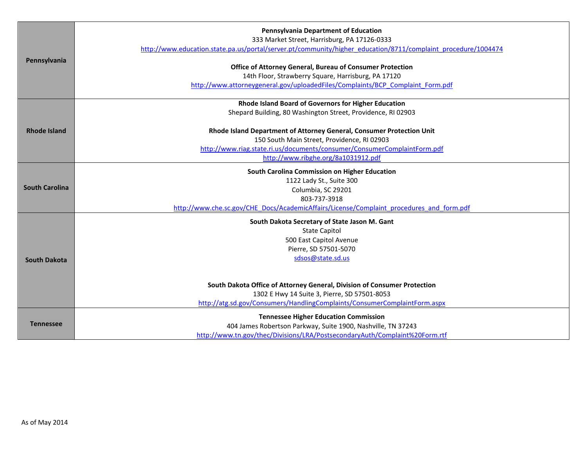|                       | <b>Pennsylvania Department of Education</b><br>333 Market Street, Harrisburg, PA 17126-0333                      |
|-----------------------|------------------------------------------------------------------------------------------------------------------|
|                       | http://www.education.state.pa.us/portal/server.pt/community/higher_education/8711/complaint_procedure/1004474    |
| Pennsylvania          |                                                                                                                  |
|                       | Office of Attorney General, Bureau of Consumer Protection<br>14th Floor, Strawberry Square, Harrisburg, PA 17120 |
|                       | http://www.attorneygeneral.gov/uploadedFiles/Complaints/BCP Complaint Form.pdf                                   |
|                       |                                                                                                                  |
|                       | Rhode Island Board of Governors for Higher Education                                                             |
|                       | Shepard Building, 80 Washington Street, Providence, RI 02903                                                     |
| <b>Rhode Island</b>   | Rhode Island Department of Attorney General, Consumer Protection Unit                                            |
|                       | 150 South Main Street, Providence, RI 02903                                                                      |
|                       | http://www.riag.state.ri.us/documents/consumer/ConsumerComplaintForm.pdf                                         |
|                       | http://www.ribghe.org/8a1031912.pdf                                                                              |
|                       | South Carolina Commission on Higher Education                                                                    |
|                       | 1122 Lady St., Suite 300                                                                                         |
| <b>South Carolina</b> | Columbia, SC 29201                                                                                               |
|                       | 803-737-3918                                                                                                     |
|                       | http://www.che.sc.gov/CHE_Docs/AcademicAffairs/License/Complaint_procedures_and_form.pdf                         |
|                       | South Dakota Secretary of State Jason M. Gant                                                                    |
|                       | <b>State Capitol</b>                                                                                             |
|                       | 500 East Capitol Avenue                                                                                          |
|                       | Pierre, SD 57501-5070                                                                                            |
| South Dakota          | sdsos@state.sd.us                                                                                                |
|                       |                                                                                                                  |
|                       | South Dakota Office of Attorney General, Division of Consumer Protection                                         |
|                       | 1302 E Hwy 14 Suite 3, Pierre, SD 57501-8053                                                                     |
|                       | http://atg.sd.gov/Consumers/HandlingComplaints/ConsumerComplaintForm.aspx                                        |
|                       | <b>Tennessee Higher Education Commission</b>                                                                     |
| <b>Tennessee</b>      | 404 James Robertson Parkway, Suite 1900, Nashville, TN 37243                                                     |
|                       | http://www.tn.gov/thec/Divisions/LRA/PostsecondaryAuth/Complaint%20Form.rtf                                      |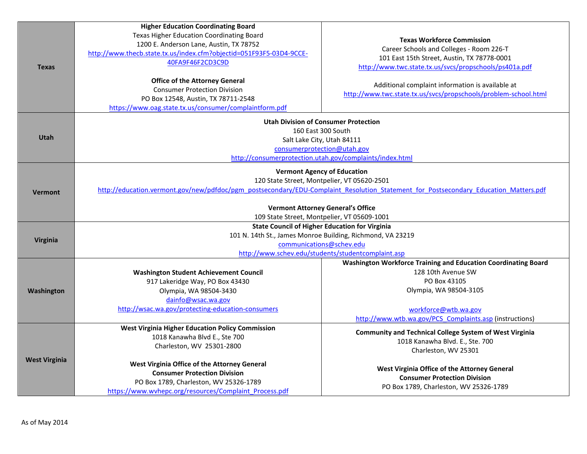|                      | <b>Higher Education Coordinating Board</b>                          |                                                                                                                                      |
|----------------------|---------------------------------------------------------------------|--------------------------------------------------------------------------------------------------------------------------------------|
|                      | Texas Higher Education Coordinating Board                           | <b>Texas Workforce Commission</b>                                                                                                    |
|                      | 1200 E. Anderson Lane, Austin, TX 78752                             | Career Schools and Colleges - Room 226-T                                                                                             |
| <b>Texas</b>         | http://www.thecb.state.tx.us/index.cfm?objectid=051F93F5-03D4-9CCE- |                                                                                                                                      |
|                      | 40FA9F46F2CD3C9D                                                    | 101 East 15th Street, Austin, TX 78778-0001                                                                                          |
|                      |                                                                     | http://www.twc.state.tx.us/svcs/propschools/ps401a.pdf                                                                               |
|                      | <b>Office of the Attorney General</b>                               |                                                                                                                                      |
|                      | <b>Consumer Protection Division</b>                                 | Additional complaint information is available at                                                                                     |
|                      | PO Box 12548, Austin, TX 78711-2548                                 | http://www.twc.state.tx.us/svcs/propschools/problem-school.html                                                                      |
|                      | https://www.oag.state.tx.us/consumer/complaintform.pdf              |                                                                                                                                      |
|                      | <b>Utah Division of Consumer Protection</b>                         |                                                                                                                                      |
|                      | 160 East 300 South                                                  |                                                                                                                                      |
| Utah                 | Salt Lake City, Utah 84111                                          |                                                                                                                                      |
|                      | consumerprotection@utah.gov                                         |                                                                                                                                      |
|                      |                                                                     | http://consumerprotection.utah.gov/complaints/index.html                                                                             |
|                      | <b>Vermont Agency of Education</b>                                  |                                                                                                                                      |
|                      | 120 State Street, Montpelier, VT 05620-2501                         |                                                                                                                                      |
| <b>Vermont</b>       |                                                                     | http://education.vermont.gov/new/pdfdoc/pgm_postsecondary/EDU-Complaint_Resolution_Statement_for_Postsecondary_Education_Matters.pdf |
|                      | <b>Vermont Attorney General's Office</b>                            |                                                                                                                                      |
|                      | 109 State Street, Montpelier, VT 05609-1001                         |                                                                                                                                      |
|                      | <b>State Council of Higher Education for Virginia</b>               |                                                                                                                                      |
|                      | 101 N. 14th St., James Monroe Building, Richmond, VA 23219          |                                                                                                                                      |
| Virginia             | communications@schev.edu                                            |                                                                                                                                      |
|                      | http://www.schev.edu/students/studentcomplaint.asp                  |                                                                                                                                      |
|                      |                                                                     | Washington Workforce Training and Education Coordinating Board                                                                       |
|                      | <b>Washington Student Achievement Council</b>                       | 128 10th Avenue SW                                                                                                                   |
|                      | 917 Lakeridge Way, PO Box 43430                                     | PO Box 43105                                                                                                                         |
| Washington           | Olympia, WA 98504-3430                                              | Olympia, WA 98504-3105                                                                                                               |
|                      | dainfo@wsac.wa.gov                                                  |                                                                                                                                      |
|                      | http://wsac.wa.gov/protecting-education-consumers                   | workforce@wtb.wa.gov                                                                                                                 |
|                      |                                                                     | http://www.wtb.wa.gov/PCS Complaints.asp (instructions)                                                                              |
|                      | <b>West Virginia Higher Education Policy Commission</b>             |                                                                                                                                      |
|                      | 1018 Kanawha Blvd E., Ste 700                                       | <b>Community and Technical College System of West Virginia</b>                                                                       |
| <b>West Virginia</b> | Charleston, WV 25301-2800                                           | 1018 Kanawha Blvd. E., Ste. 700                                                                                                      |
|                      |                                                                     | Charleston, WV 25301                                                                                                                 |
|                      | West Virginia Office of the Attorney General                        |                                                                                                                                      |
|                      | <b>Consumer Protection Division</b>                                 | West Virginia Office of the Attorney General                                                                                         |
|                      | PO Box 1789, Charleston, WV 25326-1789                              | <b>Consumer Protection Division</b>                                                                                                  |
|                      | https://www.wvhepc.org/resources/Complaint Process.pdf              | PO Box 1789, Charleston, WV 25326-1789                                                                                               |